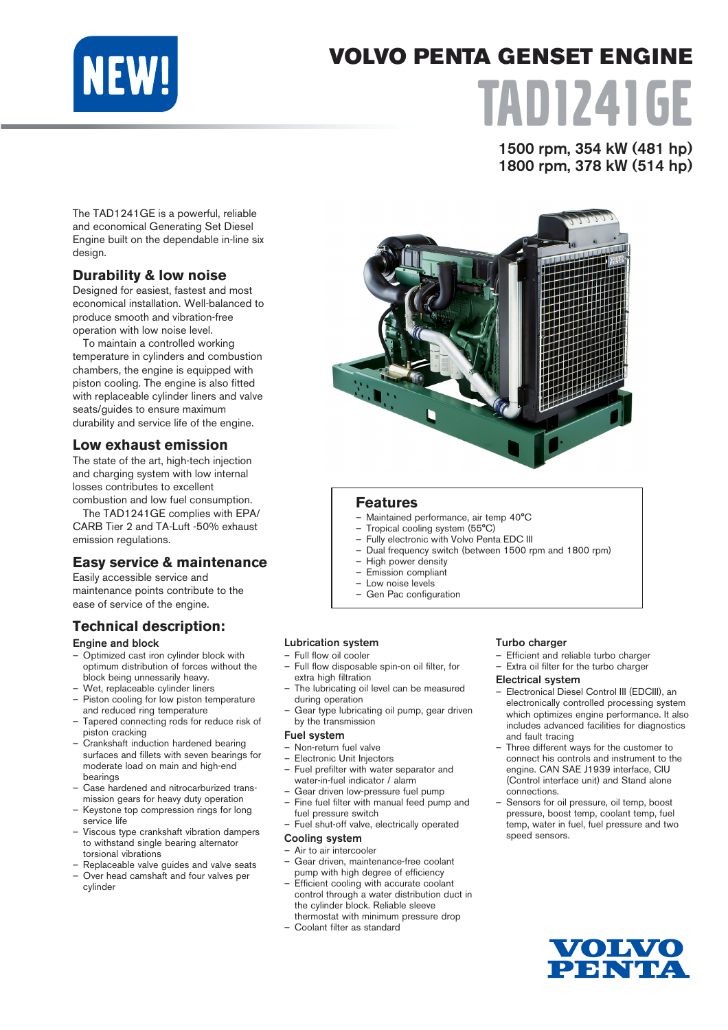

# VOLVO PENTA GENSET ENGINE TAD1241GE

1500 rpm, 354 kW (481 hp) 1800 rpm, 378 kW (514 hp)

The TAD1241GE is a powerful, reliable and economical Generating Set Diesel Engine built on the dependable in-line six design.

# **Durability & low noise**

Designed for easiest, fastest and most economical installation. Well-balanced to produce smooth and vibration-free operation with low noise level.

To maintain a controlled working temperature in cylinders and combustion chambers, the engine is equipped with piston cooling. The engine is also fitted with replaceable cylinder liners and valve seats/guides to ensure maximum durability and service life of the engine.

# **Low exhaust emission**

The state of the art, high-tech injection and charging system with low internal losses contributes to excellent combustion and low fuel consumption.

The TAD1241GE complies with EPA/ CARB Tier 2 and TA-Luft -50% exhaust emission regulations.

# **Easy service & maintenance**

Easily accessible service and maintenance points contribute to the ease of service of the engine.

# **Technical description:**

#### Engine and block

- Optimized cast iron cylinder block with optimum distribution of forces without the block being unnessarily heavy.
- Wet, replaceable cylinder liners
- Piston cooling for low piston temperature and reduced ring temperature
- Tapered connecting rods for reduce risk of piston cracking
- Crankshaft induction hardened bearing surfaces and fillets with seven bearings for moderate load on main and high-end bearings
- Case hardened and nitrocarburized transmission gears for heavy duty operation
- Keystone top compression rings for long service life
- Viscous type crankshaft vibration dampers to withstand single bearing alternator torsional vibrations
- Replaceable valve guides and valve seats
- Over head camshaft and four valves per cylinder



# **Features**

- Maintained performance, air temp 40°C
- Tropical cooling system (55°C)
- Fully electronic with Volvo Penta EDC III
- Dual frequency switch (between 1500 rpm and 1800 rpm)
- High power density – Emission compliant
- Low noise levels
- Gen Pac configuration

#### Lubrication system

- Full flow oil cooler
- Full flow disposable spin-on oil filter, for extra high filtration
- The lubricating oil level can be measured during operation
- Gear type lubricating oil pump, gear driven by the transmission

#### Fuel system

- Non-return fuel valve
- Electronic Unit Injectors
- Fuel prefilter with water separator and water-in-fuel indicator / alarm
- Gear driven low-pressure fuel pump – Fine fuel filter with manual feed pump and
- fuel pressure switch Fuel shut-off valve, electrically operated

#### Cooling system

- Air to air intercooler
- Gear driven, maintenance-free coolant pump with high degree of efficiency
- Efficient cooling with accurate coolant control through a water distribution duct in the cylinder block. Reliable sleeve thermostat with minimum pressure drop
- Coolant filter as standard

#### Turbo charger

– Efficient and reliable turbo charger – Extra oil filter for the turbo charger

#### Electrical system

- Electronical Diesel Control III (EDCIII), an electronically controlled processing system which optimizes engine performance. It also includes advanced facilities for diagnostics and fault tracing
- Three different ways for the customer to connect his controls and instrument to the engine. CAN SAE J1939 interface, CIU (Control interface unit) and Stand alone connections.
- Sensors for oil pressure, oil temp, boost pressure, boost temp, coolant temp, fuel temp, water in fuel, fuel pressure and two speed sensors.